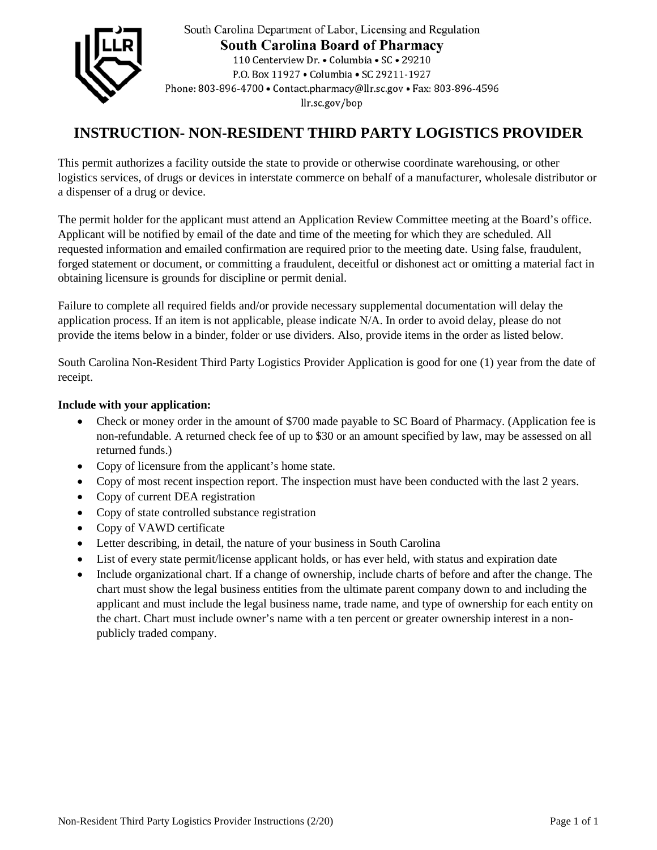

South Carolina Department of Labor, Licensing and Regulation **South Carolina Board of Pharmacy** 110 Centerview Dr. • Columbia • SC • 29210 P.O. Box 11927 . Columbia . SC 29211-1927 Phone: 803-896-4700 · Contact.pharmacy@llr.sc.gov · Fax: 803-896-4596 llr.sc.gov/bop

# **INSTRUCTION- NON-RESIDENT THIRD PARTY LOGISTICS PROVIDER**

This permit authorizes a facility outside the state to provide or otherwise coordinate warehousing, or other logistics services, of drugs or devices in interstate commerce on behalf of a manufacturer, wholesale distributor or a dispenser of a drug or device.

The permit holder for the applicant must attend an Application Review Committee meeting at the Board's office. Applicant will be notified by email of the date and time of the meeting for which they are scheduled. All requested information and emailed confirmation are required prior to the meeting date. Using false, fraudulent, forged statement or document, or committing a fraudulent, deceitful or dishonest act or omitting a material fact in obtaining licensure is grounds for discipline or permit denial.

Failure to complete all required fields and/or provide necessary supplemental documentation will delay the application process. If an item is not applicable, please indicate N/A. In order to avoid delay, please do not provide the items below in a binder, folder or use dividers. Also, provide items in the order as listed below.

South Carolina Non-Resident Third Party Logistics Provider Application is good for one (1) year from the date of receipt.

## **Include with your application:**

- Check or money order in the amount of \$700 made payable to SC Board of Pharmacy. (Application fee is non-refundable. A returned check fee of up to \$30 or an amount specified by law, may be assessed on all returned funds.)
- Copy of licensure from the applicant's home state.
- Copy of most recent inspection report. The inspection must have been conducted with the last 2 years.
- Copy of current DEA registration
- Copy of state controlled substance registration
- Copy of VAWD certificate
- Letter describing, in detail, the nature of your business in South Carolina
- List of every state permit/license applicant holds, or has ever held, with status and expiration date
- Include organizational chart. If a change of ownership, include charts of before and after the change. The chart must show the legal business entities from the ultimate parent company down to and including the applicant and must include the legal business name, trade name, and type of ownership for each entity on the chart. Chart must include owner's name with a ten percent or greater ownership interest in a nonpublicly traded company.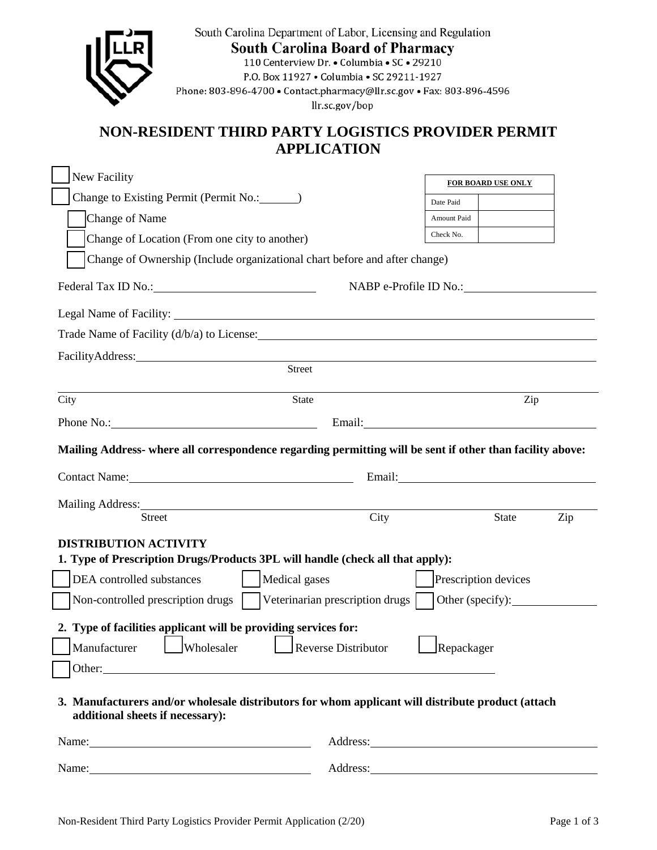| South Carolina Department of Labor, Licensing and Regulation<br><b>South Carolina Board of Pharmacy</b><br>110 Centerview Dr. • Columbia • SC • 29210<br>P.O. Box 11927 . Columbia . SC 29211-1927<br>Phone: 803-896-4700 · Contact.pharmacy@llr.sc.gov · Fax: 803-896-4596<br>llr.sc.gov/bop |                                                                                                                                                                                                                                |             |                           |     |  |
|-----------------------------------------------------------------------------------------------------------------------------------------------------------------------------------------------------------------------------------------------------------------------------------------------|--------------------------------------------------------------------------------------------------------------------------------------------------------------------------------------------------------------------------------|-------------|---------------------------|-----|--|
| NON-RESIDENT THIRD PARTY LOGISTICS PROVIDER PERMIT                                                                                                                                                                                                                                            | <b>APPLICATION</b>                                                                                                                                                                                                             |             |                           |     |  |
| <b>New Facility</b>                                                                                                                                                                                                                                                                           |                                                                                                                                                                                                                                |             | <b>FOR BOARD USE ONLY</b> |     |  |
|                                                                                                                                                                                                                                                                                               |                                                                                                                                                                                                                                | Date Paid   |                           |     |  |
| Change of Name                                                                                                                                                                                                                                                                                |                                                                                                                                                                                                                                | Amount Paid |                           |     |  |
| Change of Location (From one city to another)                                                                                                                                                                                                                                                 |                                                                                                                                                                                                                                | Check No.   |                           |     |  |
| Change of Ownership (Include organizational chart before and after change)                                                                                                                                                                                                                    |                                                                                                                                                                                                                                |             |                           |     |  |
|                                                                                                                                                                                                                                                                                               | NABP e-Profile ID No.:                                                                                                                                                                                                         |             |                           |     |  |
|                                                                                                                                                                                                                                                                                               |                                                                                                                                                                                                                                |             |                           |     |  |
| Trade Name of Facility (d/b/a) to License:                                                                                                                                                                                                                                                    |                                                                                                                                                                                                                                |             |                           |     |  |
|                                                                                                                                                                                                                                                                                               |                                                                                                                                                                                                                                |             |                           |     |  |
| <b>Street</b>                                                                                                                                                                                                                                                                                 |                                                                                                                                                                                                                                |             |                           |     |  |
| State<br>City                                                                                                                                                                                                                                                                                 |                                                                                                                                                                                                                                |             | Zip                       |     |  |
| Phone No.: Email: Email:                                                                                                                                                                                                                                                                      |                                                                                                                                                                                                                                |             |                           |     |  |
| Mailing Address- where all correspondence regarding permitting will be sent if other than facility above:                                                                                                                                                                                     |                                                                                                                                                                                                                                |             |                           |     |  |
| Contact Name: 1988                                                                                                                                                                                                                                                                            | Email: The contract of the contract of the contract of the contract of the contract of the contract of the contract of the contract of the contract of the contract of the contract of the contract of the contract of the con |             |                           |     |  |
| Mailing Address:                                                                                                                                                                                                                                                                              |                                                                                                                                                                                                                                |             |                           |     |  |
| <b>Street</b>                                                                                                                                                                                                                                                                                 | City                                                                                                                                                                                                                           |             | <b>State</b>              | Zip |  |
| <b>DISTRIBUTION ACTIVITY</b>                                                                                                                                                                                                                                                                  |                                                                                                                                                                                                                                |             |                           |     |  |
| 1. Type of Prescription Drugs/Products 3PL will handle (check all that apply):                                                                                                                                                                                                                |                                                                                                                                                                                                                                |             |                           |     |  |
| Medical gases<br>DEA controlled substances<br>Prescription devices                                                                                                                                                                                                                            |                                                                                                                                                                                                                                |             |                           |     |  |
| Veterinarian prescription drugs<br>Non-controlled prescription drugs<br>Other (specify):                                                                                                                                                                                                      |                                                                                                                                                                                                                                |             |                           |     |  |
| 2. Type of facilities applicant will be providing services for:                                                                                                                                                                                                                               |                                                                                                                                                                                                                                |             |                           |     |  |
| Manufacturer<br>Wholesaler<br><b>Reverse Distributor</b><br>Repackager                                                                                                                                                                                                                        |                                                                                                                                                                                                                                |             |                           |     |  |
|                                                                                                                                                                                                                                                                                               |                                                                                                                                                                                                                                |             |                           |     |  |
| 3. Manufacturers and/or wholesale distributors for whom applicant will distribute product (attach<br>additional sheets if necessary):                                                                                                                                                         |                                                                                                                                                                                                                                |             |                           |     |  |
| Name: Name and the state of the state of the state of the state of the state of the state of the state of the state of the state of the state of the state of the state of the state of the state of the state of the state of                                                                | Address:                                                                                                                                                                                                                       |             |                           |     |  |
| Name:<br><u> 1989 - Johann Stein, marwolaethau a bhann an t-Amhair an t-Amhair an t-Amhair an t-Amhair an t-Amhair an t-A</u>                                                                                                                                                                 | Address:                                                                                                                                                                                                                       |             |                           |     |  |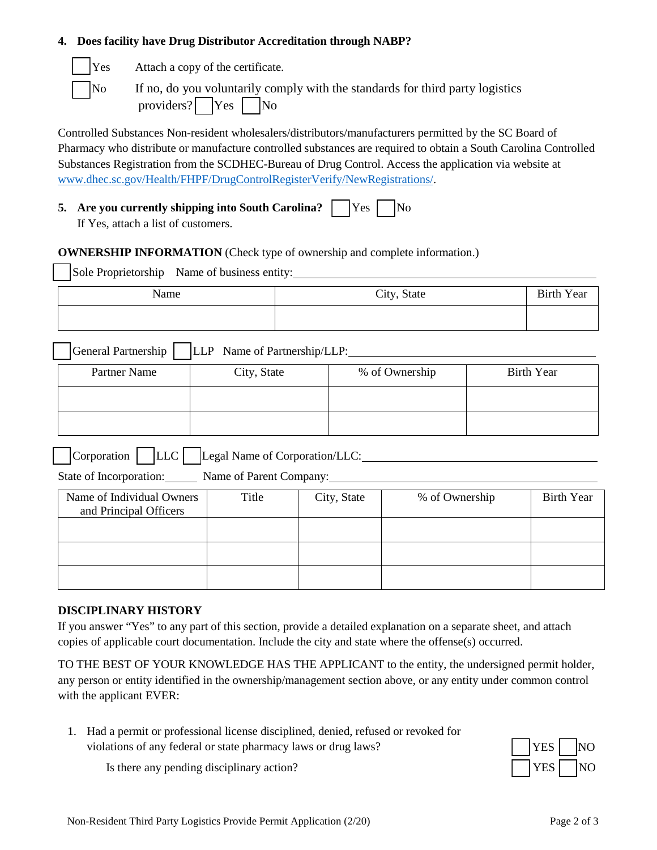#### **4. Does facility have Drug Distributor Accreditation through NABP?**

| ۳ |
|---|
| h |

es Attach a copy of the certificate.

If no, do you voluntarily comply with the standards for third party logistics providers?  $Yes \mid No$ 

Controlled Substances Non-resident wholesalers/distributors/manufacturers permitted by the SC Board of Pharmacy who distribute or manufacture controlled substances are required to obtain a South Carolina Controlled Substances Registration from the SCDHEC-Bureau of Drug Control. Access the application via website at www.dhec.sc.gov/Health/FHPF/DrugControlRegisterVerify/NewRegistrations/.

|  | 5. Are you currently shipping into South Carolina? TYes No |  |  |  |  |
|--|------------------------------------------------------------|--|--|--|--|
|--|------------------------------------------------------------|--|--|--|--|

If Yes, attach a list of customers.

**OWNERSHIP INFORMATION** (Check type of ownership and complete information.)

Sole Proprietorship Name of business entity:

| Name | City, State | <b>Birth Year</b> |
|------|-------------|-------------------|
|      |             |                   |

General Partnership LLP Name of Partnership/LLP:

| Partner Name | City, State | % of Ownership | <b>Birth Year</b> |
|--------------|-------------|----------------|-------------------|
|              |             |                |                   |
|              |             |                |                   |

Corporation LLC Legal Name of Corporation/LLC:

State of Incorporation: Name of Parent Company: Name of Parent Company:

| Name of Individual Owners<br>and Principal Officers | Title | City, State | % of Ownership | <b>Birth Year</b> |
|-----------------------------------------------------|-------|-------------|----------------|-------------------|
|                                                     |       |             |                |                   |
|                                                     |       |             |                |                   |
|                                                     |       |             |                |                   |

## **DISCIPLINARY HISTORY**

If you answer "Yes" to any part of this section, provide a detailed explanation on a separate sheet, and attach copies of applicable court documentation. Include the city and state where the offense(s) occurred.

TO THE BEST OF YOUR KNOWLEDGE HAS THE APPLICANT to the entity, the undersigned permit holder, any person or entity identified in the ownership/management section above, or any entity under common control with the applicant EVER:

1. Had a permit or professional license disciplined, denied, refused or revoked for violations of any federal or state pharmacy laws or drug laws? YES NO



Is there any pending disciplinary action?  $|$  | YES | NO